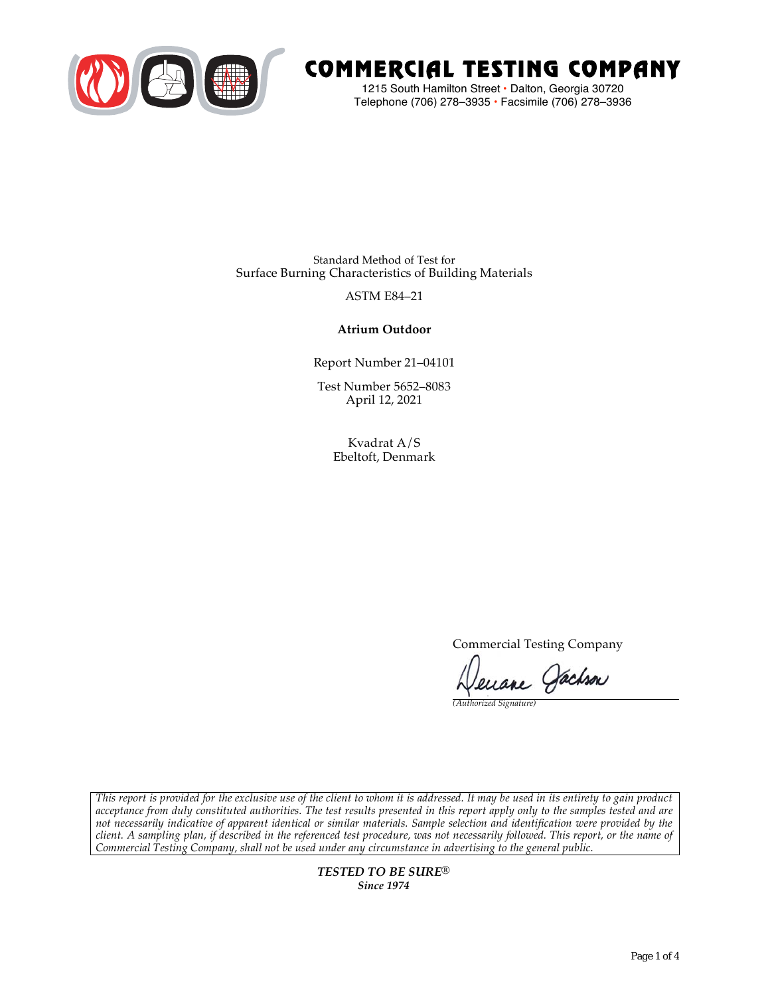

# COMMERCIAL TESTING COMPANY

1215 South Hamilton Street • Dalton, Georgia 30720 Telephone (706) 278–3935 **•** Facsimile (706) 278–3936

Standard Method of Test for Surface Burning Characteristics of Building Materials

## ASTM E84–21

## **Atrium Outdoor**

Report Number 21–04101

Test Number 5652–8083 April 12, 2021

> Kvadrat A/S Ebeltoft, Denmark

> > Commercial Testing Company

Jenane Jachson

*(Authorized Signature)* 

*This report is provided for the exclusive use of the client to whom it is addressed. It may be used in its entirety to gain product acceptance from duly constituted authorities. The test results presented in this report apply only to the samples tested and are not necessarily indicative of apparent identical or similar materials. Sample selection and identification were provided by the client. A sampling plan, if described in the referenced test procedure, was not necessarily followed. This report, or the name of Commercial Testing Company, shall not be used under any circumstance in advertising to the general public.* 

> *TESTED TO BE SURE® Since 1974*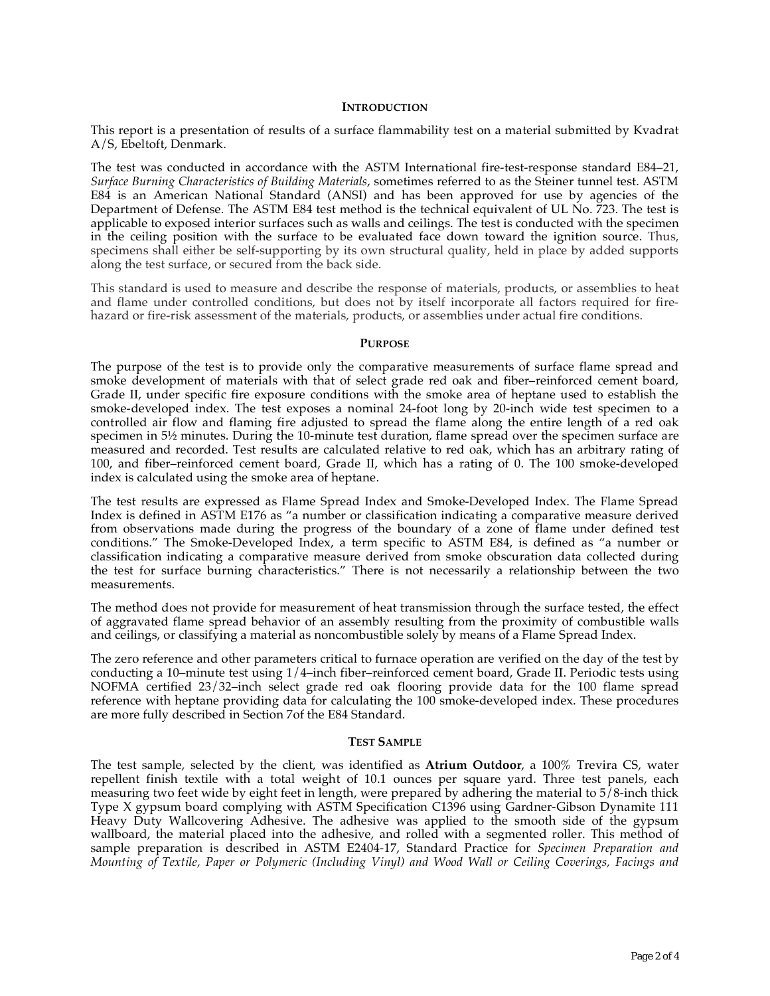#### **INTRODUCTION**

This report is a presentation of results of a surface flammability test on a material submitted by Kvadrat A/S, Ebeltoft, Denmark.

The test was conducted in accordance with the ASTM International fire-test-response standard E84–21, *Surface Burning Characteristics of Building Materials*, sometimes referred to as the Steiner tunnel test. ASTM E84 is an American National Standard (ANSI) and has been approved for use by agencies of the Department of Defense. The ASTM E84 test method is the technical equivalent of UL No. 723. The test is applicable to exposed interior surfaces such as walls and ceilings. The test is conducted with the specimen in the ceiling position with the surface to be evaluated face down toward the ignition source. Thus, specimens shall either be self-supporting by its own structural quality, held in place by added supports along the test surface, or secured from the back side.

This standard is used to measure and describe the response of materials, products, or assemblies to heat and flame under controlled conditions, but does not by itself incorporate all factors required for firehazard or fire-risk assessment of the materials, products, or assemblies under actual fire conditions.

#### **PURPOSE**

The purpose of the test is to provide only the comparative measurements of surface flame spread and smoke development of materials with that of select grade red oak and fiber–reinforced cement board, Grade II, under specific fire exposure conditions with the smoke area of heptane used to establish the smoke-developed index. The test exposes a nominal 24-foot long by 20-inch wide test specimen to a controlled air flow and flaming fire adjusted to spread the flame along the entire length of a red oak specimen in  $5\frac{1}{2}$  minutes. During the 10-minute test duration, flame spread over the specimen surface are measured and recorded. Test results are calculated relative to red oak, which has an arbitrary rating of 100, and fiber–reinforced cement board, Grade II, which has a rating of 0. The 100 smoke-developed index is calculated using the smoke area of heptane.

The test results are expressed as Flame Spread Index and Smoke-Developed Index. The Flame Spread Index is defined in ASTM E176 as "a number or classification indicating a comparative measure derived from observations made during the progress of the boundary of a zone of flame under defined test conditions." The Smoke-Developed Index, a term specific to ASTM E84, is defined as "a number or classification indicating a comparative measure derived from smoke obscuration data collected during the test for surface burning characteristics." There is not necessarily a relationship between the two measurements.

The method does not provide for measurement of heat transmission through the surface tested, the effect of aggravated flame spread behavior of an assembly resulting from the proximity of combustible walls and ceilings, or classifying a material as noncombustible solely by means of a Flame Spread Index.

The zero reference and other parameters critical to furnace operation are verified on the day of the test by conducting a 10–minute test using 1/4–inch fiber–reinforced cement board, Grade II. Periodic tests using NOFMA certified 23/32–inch select grade red oak flooring provide data for the 100 flame spread reference with heptane providing data for calculating the 100 smoke-developed index. These procedures are more fully described in Section 7of the E84 Standard.

#### **TEST SAMPLE**

The test sample, selected by the client, was identified as **Atrium Outdoor**, a 100% Trevira CS, water repellent finish textile with a total weight of 10.1 ounces per square yard. Three test panels, each measuring two feet wide by eight feet in length, were prepared by adhering the material to 5/8-inch thick Type X gypsum board complying with ASTM Specification C1396 using Gardner-Gibson Dynamite 111 Heavy Duty Wallcovering Adhesive. The adhesive was applied to the smooth side of the gypsum wallboard, the material placed into the adhesive, and rolled with a segmented roller. This method of sample preparation is described in ASTM E2404-17, Standard Practice for *Specimen Preparation and Mounting of Textile, Paper or Polymeric (Including Vinyl) and Wood Wall or Ceiling Coverings, Facings and*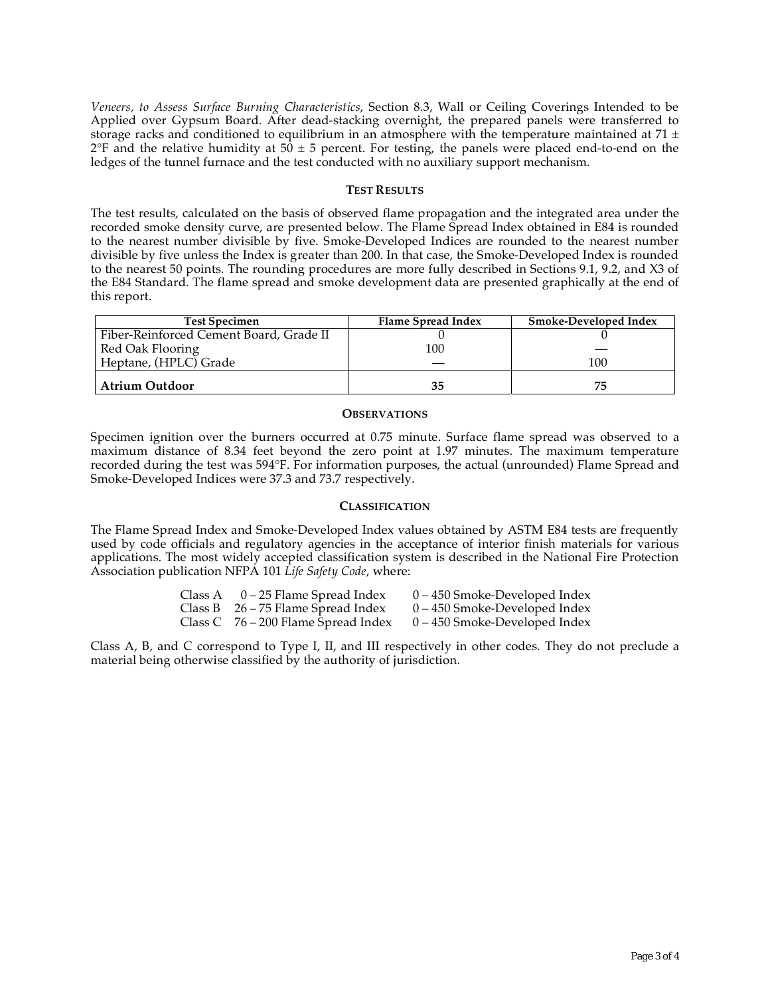*Veneers, to Assess Surface Burning Characteristics*, Section 8.3, Wall or Ceiling Coverings Intended to be Applied over Gypsum Board. After dead-stacking overnight, the prepared panels were transferred to storage racks and conditioned to equilibrium in an atmosphere with the temperature maintained at 71  $\pm$  $2^{\circ}F$  and the relative humidity at 50  $\pm$  5 percent. For testing, the panels were placed end-to-end on the ledges of the tunnel furnace and the test conducted with no auxiliary support mechanism.

#### **TEST RESULTS**

The test results, calculated on the basis of observed flame propagation and the integrated area under the recorded smoke density curve, are presented below. The Flame Spread Index obtained in E84 is rounded to the nearest number divisible by five. Smoke-Developed Indices are rounded to the nearest number divisible by five unless the Index is greater than 200. In that case, the Smoke-Developed Index is rounded to the nearest 50 points. The rounding procedures are more fully described in Sections 9.1, 9.2, and X3 of the E84 Standard. The flame spread and smoke development data are presented graphically at the end of this report.

| <b>Test Specimen</b>                    | Flame Spread Index | Smoke-Developed Index |
|-----------------------------------------|--------------------|-----------------------|
| Fiber-Reinforced Cement Board, Grade II |                    |                       |
| Red Oak Flooring                        | 100                |                       |
| Heptane, (HPLC) Grade                   |                    | 100                   |
| Atrium Outdoor                          | 35                 | 75                    |

#### **OBSERVATIONS**

Specimen ignition over the burners occurred at 0.75 minute. Surface flame spread was observed to a maximum distance of 8.34 feet beyond the zero point at 1.97 minutes. The maximum temperature recorded during the test was 594°F. For information purposes, the actual (unrounded) Flame Spread and Smoke-Developed Indices were 37.3 and 73.7 respectively.

### **CLASSIFICATION**

The Flame Spread Index and Smoke-Developed Index values obtained by ASTM E84 tests are frequently used by code officials and regulatory agencies in the acceptance of interior finish materials for various applications. The most widely accepted classification system is described in the National Fire Protection Association publication NFPA 101 *Life Safety Code*, where:

| Class A | 0 – 25 Flame Spread Index             | 0 – 450 Smoke-Developed Index   |
|---------|---------------------------------------|---------------------------------|
|         | Class B $26 - 75$ Flame Spread Index  | $0 - 450$ Smoke-Developed Index |
|         | Class C $76 - 200$ Flame Spread Index | $0 - 450$ Smoke-Developed Index |

Class A, B, and C correspond to Type I, II, and III respectively in other codes. They do not preclude a material being otherwise classified by the authority of jurisdiction.